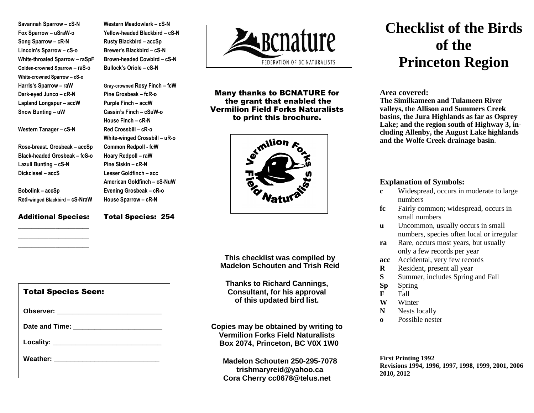**Savannah Sparrow – cS-N Fox Sparrow – uSraW-o Song Sparrow – cR-N Lincoln's Sparrow – cS-o White-throated Sparrow – raSpF Golden-crowned Sparrow – raS-o White-crowned Sparrow – cS-o Harris's Sparrow – raW Dark-eyed Junco – cR-N Lapland Longspur – accW Snow Bunting – uW**

**Western Tanager – cS-N**

**Lazuli Bunting – cS-N Dickcissel – accS**

**Bobolink – accSp**

**Rose-breast. Grosbeak – accSp Black-headed Grosbeak – fcS-o** **Western Meadowlark – cS-N Yellow-headed Blackbird – cS-N Rusty Blackbird – accSp Brewer's Blackbird – cS-N Brown-headed Cowbird – cS-N Bullock's Oriole – cS-N**

**Gray-crowned Rosy Finch – fcW Pine Grosbeak – fcR-o Purple Finch – accW Cassin's Finch – cSuW-o House Finch – cR-N Red Crossbill – cR-o White-winged Crossbill – uR-o Common Redpoll - fcW Hoary Redpoll – raW Pine Siskin – cR-N Lesser Goldfinch – acc American Goldfinch – cS-NuW Evening Grosbeak – cR-o House Sparrow – cR-N**

### Additional Species: \_\_\_\_\_\_\_\_\_\_\_\_\_\_\_\_\_\_\_\_\_

 $\overline{\phantom{a}}$  , where  $\overline{\phantom{a}}$  , where  $\overline{\phantom{a}}$  , where  $\overline{\phantom{a}}$ \_\_\_\_\_\_\_\_\_\_\_\_\_\_\_\_\_\_\_\_\_

**Red-winged Blackbird – cS-NraW**

Total Species: 254



Many thanks to BCNATURE for the grant that enabled the Vermilion Field Forks Naturalists to print this brochure.



**This checklist was compiled by Madelon Schouten and Trish Reid**

**Thanks to Richard Cannings, Consultant, for his approval of this updated bird list.**

**Copies may be obtained by writing to Vermilion Forks Field Naturalists Box 2074, Princeton, BC V0X 1W0**

**Madelon Schouten 250-295-7078 trishmaryreid@yahoo.ca Cora Cherry cc0678@telus.net**

# **Checklist of the Birds of the Princeton Region**

#### **Area covered:**

**The Similkameen and Tulameen River valleys, the Allison and Summers Creek basins, the Jura Highlands as far as Osprey Lake; and the region south of Highway 3, including Allenby, the August Lake highlands and the Wolfe Creek drainage basin**.

## **Explanation of Symbols:**

- **c** Widespread, occurs in moderate to large numbers
- **fc** Fairly common; widespread, occurs in small numbers
- **u** Uncommon, usually occurs in small numbers, species often local or irregular
- **ra** Rare, occurs most years, but usually only a few records per year
- **acc** Accidental, very few records
- **R** Resident, present all year
- **S** Summer, includes Spring and Fall
- **Sp** Spring
- **F** Fall
- **W** Winter
- **N** Nests locally
- **o** Possible nester

**First Printing 1992 Revisions 1994, 1996, 1997, 1998, 1999, 2001, 2006 2010, 2012**

| <b>Total Species Seen:</b>        |
|-----------------------------------|
|                                   |
| Date and Time: __________________ |
|                                   |
|                                   |